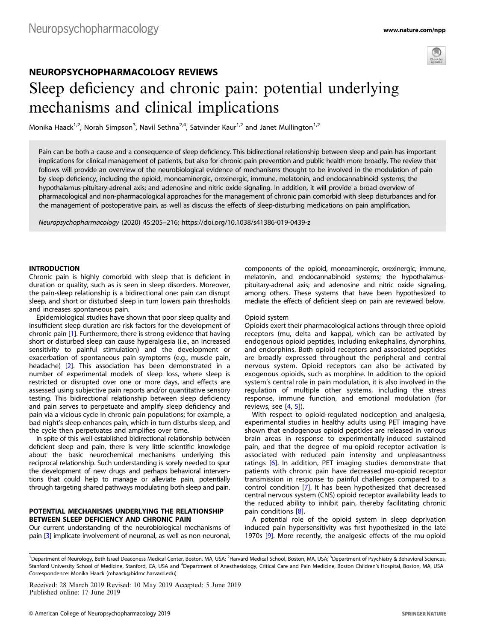

# NEUROPSYCHOPHARMACOLOGY REVIEWS Sleep deficiency and chronic pain: potential underlying mechanisms and clinical implications

Monika Haack<sup>1,2</sup>, Norah Simpson<sup>3</sup>, Navil Sethna<sup>2,4</sup>, Satvinder Kaur<sup>1,2</sup> and Janet Mullington<sup>1,2</sup>

Pain can be both a cause and a consequence of sleep deficiency. This bidirectional relationship between sleep and pain has important implications for clinical management of patients, but also for chronic pain prevention and public health more broadly. The review that follows will provide an overview of the neurobiological evidence of mechanisms thought to be involved in the modulation of pain by sleep deficiency, including the opioid, monoaminergic, orexinergic, immune, melatonin, and endocannabinoid systems; the hypothalamus-pituitary-adrenal axis; and adenosine and nitric oxide signaling. In addition, it will provide a broad overview of pharmacological and non-pharmacological approaches for the management of chronic pain comorbid with sleep disturbances and for the management of postoperative pain, as well as discuss the effects of sleep-disturbing medications on pain amplification.

Neuropsychopharmacology (2020) 45:205–216; https://doi.org/10.1038/s41386-019-0439-z

### INTRODUCTION

Chronic pain is highly comorbid with sleep that is deficient in duration or quality, such as is seen in sleep disorders. Moreover, the pain-sleep relationship is a bidirectional one: pain can disrupt sleep, and short or disturbed sleep in turn lowers pain thresholds and increases spontaneous pain.

Epidemiological studies have shown that poor sleep quality and insufficient sleep duration are risk factors for the development of chronic pain [[1\]](#page-8-0). Furthermore, there is strong evidence that having short or disturbed sleep can cause hyperalgesia (i.e., an increased sensitivity to painful stimulation) and the development or exacerbation of spontaneous pain symptoms (e.g., muscle pain, headache) [\[2\]](#page-8-0). This association has been demonstrated in a number of experimental models of sleep loss, where sleep is restricted or disrupted over one or more days, and effects are assessed using subjective pain reports and/or quantitative sensory testing. This bidirectional relationship between sleep deficiency and pain serves to perpetuate and amplify sleep deficiency and pain via a vicious cycle in chronic pain populations; for example, a bad night's sleep enhances pain, which in turn disturbs sleep, and the cycle then perpetuates and amplifies over time.

In spite of this well-established bidirectional relationship between deficient sleep and pain, there is very little scientific knowledge about the basic neurochemical mechanisms underlying this reciprocal relationship. Such understanding is sorely needed to spur the development of new drugs and perhaps behavioral interventions that could help to manage or alleviate pain, potentially through targeting shared pathways modulating both sleep and pain.

## POTENTIAL MECHANISMS UNDERLYING THE RELATIONSHIP BETWEEN SLEEP DEFICIENCY AND CHRONIC PAIN

Our current understanding of the neurobiological mechanisms of pain [[3](#page-8-0)] implicate involvement of neuronal, as well as non-neuronal, components of the opioid, monoaminergic, orexinergic, immune, melatonin, and endocannabinoid systems; the hypothalamuspituitary-adrenal axis; and adenosine and nitric oxide signaling, among others. These systems that have been hypothesized to mediate the effects of deficient sleep on pain are reviewed below.

#### Opioid system

Opioids exert their pharmacological actions through three opioid receptors (mu, delta and kappa), which can be activated by endogenous opioid peptides, including enkephalins, dynorphins, and endorphins. Both opioid receptors and associated peptides are broadly expressed throughout the peripheral and central nervous system. Opioid receptors can also be activated by exogenous opioids, such as morphine. In addition to the opioid system's central role in pain modulation, it is also involved in the regulation of multiple other systems, including the stress response, immune function, and emotional modulation (for reviews, see  $[4, 5]$  $[4, 5]$  $[4, 5]$  $[4, 5]$  $[4, 5]$ ).

With respect to opioid-regulated nociception and analgesia, experimental studies in healthy adults using PET imaging have shown that endogenous opioid peptides are released in various brain areas in response to experimentally-induced sustained pain, and that the degree of mu-opioid receptor activation is associated with reduced pain intensity and unpleasantness ratings [[6](#page-8-0)]. In addition, PET imaging studies demonstrate that patients with chronic pain have decreased mu-opioid receptor transmission in response to painful challenges compared to a control condition [\[7](#page-8-0)]. It has been hypothesized that decreased central nervous system (CNS) opioid receptor availability leads to the reduced ability to inhibit pain, thereby facilitating chronic pain conditions [\[8\]](#page-8-0).

A potential role of the opioid system in sleep deprivation induced pain hypersensitivity was first hypothesized in the late 1970s [[9](#page-8-0)]. More recently, the analgesic effects of the mu-opioid

<sup>1</sup>Department of Neurology, Beth Israel Deaconess Medical Center, Boston, MA, USA; <sup>2</sup>Harvard Medical School, Boston, MA, USA; <sup>3</sup>Department of Psychiatry & Behavioral Sciences, Stanford University School of Medicine, Stanford, CA, USA and <sup>4</sup>Department of Anesthesiology, Critical Care and Pain Medicine, Boston Children's Hospital, Boston, MA, USA Correspondence: Monika Haack [\(mhaack@bidmc.harvard.edu\)](mailto:mhaack@bidmc.harvard.edu)

Received: 28 March 2019 Revised: 10 May 2019 Accepted: 5 June 2019 Published online: 17 June 2019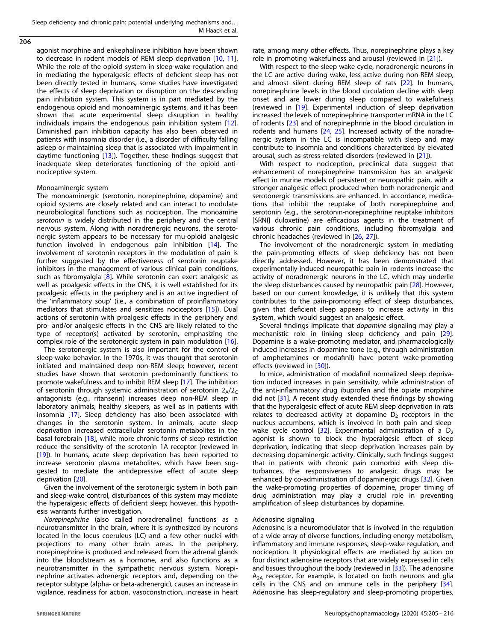Sleep deficiency and chronic pain: potential underlying mechanisms and. . . M Haack et al.

206

agonist morphine and enkephalinase inhibition have been shown to decrease in rodent models of REM sleep deprivation [[10,](#page-8-0) [11](#page-8-0)]. While the role of the opioid system in sleep-wake regulation and in mediating the hyperalgesic effects of deficient sleep has not been directly tested in humans, some studies have investigated the effects of sleep deprivation or disruption on the descending pain inhibition system. This system is in part mediated by the endogenous opioid and monoaminergic systems, and it has been shown that acute experimental sleep disruption in healthy individuals impairs the endogenous pain inhibition system [[12](#page-8-0)]. Diminished pain inhibition capacity has also been observed in patients with insomnia disorder (i.e., a disorder of difficulty falling asleep or maintaining sleep that is associated with impairment in daytime functioning [[13\]](#page-8-0)). Together, these findings suggest that inadequate sleep deteriorates functioning of the opioid antinociceptive system.

## Monoaminergic system

The monoaminergic (serotonin, norepinephrine, dopamine) and opioid systems are closely related and can interact to modulate neurobiological functions such as nociception. The monoamine serotonin is widely distributed in the periphery and the central nervous system. Along with noradrenergic neurons, the serotonergic system appears to be necessary for mu-opioid analgesic function involved in endogenous pain inhibition [\[14](#page-8-0)]. The involvement of serotonin receptors in the modulation of pain is further suggested by the effectiveness of serotonin reuptake inhibitors in the management of various clinical pain conditions, such as fibromyalgia [[8\]](#page-8-0). While serotonin can exert analgesic as well as proalgesic effects in the CNS, it is well established for its proalgesic effects in the periphery and is an active ingredient of the 'inflammatory soup' (i.e., a combination of proinflammatory mediators that stimulates and sensitizes nociceptors [\[15](#page-8-0)]). Dual actions of serotonin with proalgesic effects in the periphery and pro- and/or analgesic effects in the CNS are likely related to the type of receptor(s) activated by serotonin, emphasizing the complex role of the serotonergic system in pain modulation [[16](#page-8-0)].

The serotonergic system is also important for the control of sleep-wake behavior. In the 1970s, it was thought that serotonin initiated and maintained deep non-REM sleep; however, recent studies have shown that serotonin predominantly functions to promote wakefulness and to inhibit REM sleep [\[17](#page-8-0)]. The inhibition of serotonin through systemic administration of serotonin  $2_A/2_C$ antagonists (e.g., ritanserin) increases deep non-REM sleep in laboratory animals, healthy sleepers, as well as in patients with insomnia [[17\]](#page-8-0). Sleep deficiency has also been associated with changes in the serotonin system. In animals, acute sleep deprivation increased extracellular serotonin metabolites in the basal forebrain [[18\]](#page-8-0), while more chronic forms of sleep restriction reduce the sensitivity of the serotonin 1A receptor (reviewed in [[19\]](#page-8-0)). In humans, acute sleep deprivation has been reported to increase serotonin plasma metabolites, which have been suggested to mediate the antidepressive effect of acute sleep deprivation [[20\]](#page-8-0).

Given the involvement of the serotonergic system in both pain and sleep-wake control, disturbances of this system may mediate the hyperalgesic effects of deficient sleep; however, this hypothesis warrants further investigation.

Norepinephrine (also called noradrenaline) functions as a neurotransmitter in the brain, where it is synthesized by neurons located in the locus coeruleus (LC) and a few other nuclei with projections to many other brain areas. In the periphery, norepinephrine is produced and released from the adrenal glands into the bloodstream as a hormone, and also functions as a neurotransmitter in the sympathetic nervous system. Norepinephrine activates adrenergic receptors and, depending on the receptor subtype (alpha- or beta-adrenergic), causes an increase in vigilance, readiness for action, vasoconstriction, increase in heart

rate, among many other effects. Thus, norepinephrine plays a key role in promoting wakefulness and arousal (reviewed in [\[21\]](#page-8-0)).

With respect to the sleep-wake cycle, noradrenergic neurons in the LC are active during wake, less active during non-REM sleep, and almost silent during REM sleep of rats [[22\]](#page-8-0). In humans, norepinephrine levels in the blood circulation decline with sleep onset and are lower during sleep compared to wakefulness (reviewed in [\[19](#page-8-0)]. Experimental induction of sleep deprivation increased the levels of norepinephrine transporter mRNA in the LC of rodents [\[23](#page-8-0)] and of norepinephrine in the blood circulation in rodents and humans [\[24](#page-9-0), [25\]](#page-9-0). Increased activity of the noradrenergic system in the LC is incompatible with sleep and may contribute to insomnia and conditions characterized by elevated arousal, such as stress-related disorders (reviewed in [\[21\]](#page-8-0)).

With respect to nociception, preclinical data suggest that enhancement of norepinephrine transmission has an analgesic effect in murine models of persistent or neuropathic pain, with a stronger analgesic effect produced when both noradrenergic and serotonergic transmissions are enhanced. In accordance, medications that inhibit the reuptake of both norepinephrine and serotonin (e.g., the serotonin-norepinephrine reuptake inhibitors [SRNI] duloxetine) are efficacious agents in the treatment of various chronic pain conditions, including fibromyalgia and chronic headaches (reviewed in [\[26,](#page-9-0) [27](#page-9-0)]).

The involvement of the noradrenergic system in mediating the pain-promoting effects of sleep deficiency has not been directly addressed. However, it has been demonstrated that experimentally-induced neuropathic pain in rodents increase the activity of noradrenergic neurons in the LC, which may underlie the sleep disturbances caused by neuropathic pain [\[28](#page-9-0)]. However, based on our current knowledge, it is unlikely that this system contributes to the pain-promoting effect of sleep disturbances, given that deficient sleep appears to increase activity in this system, which would suggest an analgesic effect.

Several findings implicate that *dopamine* signaling may play a mechanistic role in linking sleep deficiency and pain [[29](#page-9-0)]. Dopamine is a wake-promoting mediator, and pharmacologically induced increases in dopamine tone (e.g., through administration of amphetamines or modafinil) have potent wake-promoting effects (reviewed in [\[30](#page-9-0)]).

In mice, administration of modafinil normalized sleep deprivation induced increases in pain sensitivity, while administration of the anti-inflammatory drug ibuprofen and the opiate morphine did not [[31\]](#page-9-0). A recent study extended these findings by showing that the hyperalgesic effect of acute REM sleep deprivation in rats relates to decreased activity at dopamine  $D_2$  receptors in the nucleus accumbens, which is involved in both pain and sleepwake cycle control  $[32]$  $[32]$ . Experimental administration of a  $D<sub>2</sub>$ agonist is shown to block the hyperalgesic effect of sleep deprivation, indicating that sleep deprivation increases pain by decreasing dopaminergic activity. Clinically, such findings suggest that in patients with chronic pain comorbid with sleep disturbances, the responsiveness to analgesic drugs may be enhanced by co-administration of dopaminergic drugs [[32](#page-9-0)]. Given the wake-promoting properties of dopamine, proper timing of drug administration may play a crucial role in preventing amplification of sleep disturbances by dopamine.

## Adenosine signaling

Adenosine is a neuromodulator that is involved in the regulation of a wide array of diverse functions, including energy metabolism, inflammatory and immune responses, sleep-wake regulation, and nociception. It physiological effects are mediated by action on four distinct adenosine receptors that are widely expressed in cells and tissues throughout the body (reviewed in [[33\]](#page-9-0)). The adenosine  $A<sub>2A</sub>$  receptor, for example, is located on both neurons and glia cells in the CNS and on immune cells in the periphery [[34](#page-9-0)]. Adenosine has sleep-regulatory and sleep-promoting properties,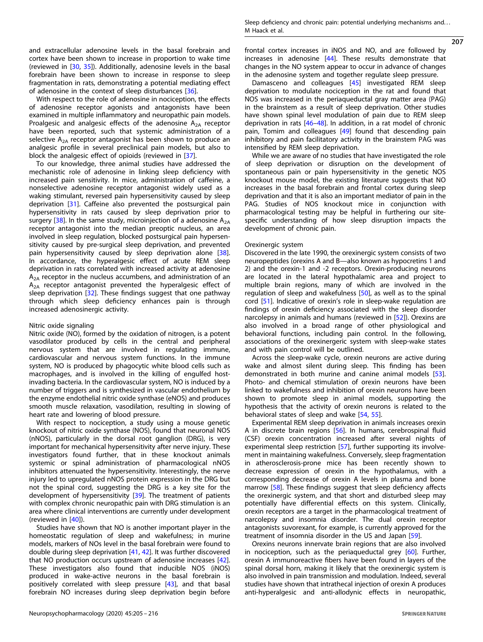and extracellular adenosine levels in the basal forebrain and cortex have been shown to increase in proportion to wake time (reviewed in [[30](#page-9-0), [35](#page-9-0)]). Additionally, adenosine levels in the basal forebrain have been shown to increase in response to sleep fragmentation in rats, demonstrating a potential mediating effect of adenosine in the context of sleep disturbances [[36\]](#page-9-0).

With respect to the role of adenosine in nociception, the effects of adenosine receptor agonists and antagonists have been examined in multiple inflammatory and neuropathic pain models. Proalgesic and analgesic effects of the adenosine  $A_{2A}$  receptor have been reported, such that systemic administration of a selective  $A_{2A}$  receptor antagonist has been shown to produce an analgesic profile in several preclinical pain models, but also to block the analgesic effect of opioids (reviewed in [\[37](#page-9-0)].

To our knowledge, three animal studies have addressed the mechanistic role of adenosine in linking sleep deficiency with increased pain sensitivity. In mice, administration of caffeine, a nonselective adenosine receptor antagonist widely used as a waking stimulant, reversed pain hypersensitivity caused by sleep deprivation [[31\]](#page-9-0). Caffeine also prevented the postsurgical pain hypersensitivity in rats caused by sleep deprivation prior to surgery  $[38]$  $[38]$ . In the same study, microinjection of a adenosine  $A_{2A}$ receptor antagonist into the median preoptic nucleus, an area involved in sleep regulation, blocked postsurgical pain hypersensitivity caused by pre-surgical sleep deprivation, and prevented pain hypersensitivity caused by sleep deprivation alone [\[38\]](#page-9-0). In accordance, the hyperalgesic effect of acute REM sleep deprivation in rats correlated with increased activity at adenosine  $A<sub>2A</sub>$  receptor in the nucleus accumbens, and administration of an  $A_{2A}$  receptor antagonist prevented the hyperalgesic effect of sleep deprivation [[32\]](#page-9-0). These findings suggest that one pathway through which sleep deficiency enhances pain is through increased adenosinergic activity.

#### Nitric oxide signaling

Nitric oxide (NO), formed by the oxidation of nitrogen, is a potent vasodilator produced by cells in the central and peripheral nervous system that are involved in regulating immune, cardiovascular and nervous system functions. In the immune system, NO is produced by phagocytic white blood cells such as macrophages, and is involved in the killing of engulfed hostinvading bacteria. In the cardiovascular system, NO is induced by a number of triggers and is synthesized in vascular endothelium by the enzyme endothelial nitric oxide synthase (eNOS) and produces smooth muscle relaxation, vasodilation, resulting in slowing of heart rate and lowering of blood pressure.

With respect to nociception, a study using a mouse genetic knockout of nitric oxide synthase (NOS), found that neuronal NOS (nNOS), particularly in the dorsal root ganglion (DRG), is very important for mechanical hypersensitivity after nerve injury. These investigators found further, that in these knockout animals systemic or spinal administration of pharmacological nNOS inhibitors attenuated the hypersensitivity. Interestingly, the nerve injury led to upregulated nNOS protein expression in the DRG but not the spinal cord, suggesting the DRG is a key site for the development of hypersensitivity [\[39](#page-9-0)]. The treatment of patients with complex chronic neuropathic pain with DRG stimulation is an area where clinical interventions are currently under development (reviewed in [\[40](#page-9-0)]).

Studies have shown that NO is another important player in the homeostatic regulation of sleep and wakefulness; in murine models, markers of NOs level in the basal forebrain were found to double during sleep deprivation [[41,](#page-9-0) [42](#page-9-0)]. It was further discovered that NO production occurs upstream of adenosine increases [\[42\]](#page-9-0). These investigators also found that inducible NOS (iNOS) produced in wake-active neurons in the basal forebrain is positively correlated with sleep pressure [\[43](#page-9-0)], and that basal forebrain NO increases during sleep deprivation begin before 207

frontal cortex increases in iNOS and NO, and are followed by increases in adenosine [[44\]](#page-9-0). These results demonstrate that changes in the NO system appear to occur in advance of changes in the adenosine system and together regulate sleep pressure.

Damasceno and colleagues [[45\]](#page-9-0) investigated REM sleep deprivation to modulate nociception in the rat and found that NOS was increased in the periaqueductal gray matter area (PAG) in the brainstem as a result of sleep deprivation. Other studies have shown spinal level modulation of pain due to REM sleep deprivation in rats [\[46](#page-9-0)–[48](#page-9-0)]. In addition, in a rat model of chronic pain, Tomim and colleagues [[49\]](#page-9-0) found that descending pain inhibitory and pain facilitatory activity in the brainstem PAG was intensified by REM sleep deprivation.

While we are aware of no studies that have investigated the role of sleep deprivation or disruption on the development of spontaneous pain or pain hypersensitivity in the genetic NOS knockout mouse model, the existing literature suggests that NO increases in the basal forebrain and frontal cortex during sleep deprivation and that it is also an important mediator of pain in the PAG. Studies of NOS knockout mice in conjunction with pharmacological testing may be helpful in furthering our sitespecific understanding of how sleep disruption impacts the development of chronic pain.

#### Orexinergic system

Discovered in the late 1990, the orexinergic system consists of two neuropeptides (orexins A and B—also known as hypocretins 1 and 2) and the orexin-1 and -2 receptors. Orexin-producing neurons are located in the lateral hypothalamic area and project to multiple brain regions, many of which are involved in the regulation of sleep and wakefulness [\[50](#page-9-0)], as well as to the spinal cord [[51\]](#page-9-0). Indicative of orexin's role in sleep-wake regulation are findings of orexin deficiency associated with the sleep disorder narcolepsy in animals and humans (reviewed in [\[52\]](#page-9-0)). Orexins are also involved in a broad range of other physiological and behavioral functions, including pain control. In the following, associations of the orexinergeric system with sleep-wake states and with pain control will be outlined.

Across the sleep-wake cycle, orexin neurons are active during wake and almost silent during sleep. This finding has been demonstrated in both murine and canine animal models [\[53\]](#page-9-0). Photo- and chemical stimulation of orexin neurons have been linked to wakefulness and inhibition of orexin neurons have been shown to promote sleep in animal models, supporting the hypothesis that the activity of orexin neurons is related to the behavioral states of sleep and wake [\[54](#page-9-0), [55](#page-9-0)].

Experimental REM sleep deprivation in animals increases orexin A in discrete brain regions [[56](#page-9-0)]. In humans, cerebrospinal fluid (CSF) orexin concentration increased after several nights of experimental sleep restriction [[57\]](#page-9-0), further supporting its involvement in maintaining wakefulness. Conversely, sleep fragmentation in atherosclerosis-prone mice has been recently shown to decrease expression of orexin in the hypothalamus, with a corresponding decrease of orexin A levels in plasma and bone marrow [\[58\]](#page-9-0). These findings suggest that sleep deficiency affects the orexinergic system, and that short and disturbed sleep may potentially have differential effects on this system. Clinically, orexin receptors are a target in the pharmacological treatment of narcolepsy and insomnia disorder. The dual orexin receptor antagonists suvorexant, for example, is currently approved for the treatment of insomnia disorder in the US and Japan [[59\]](#page-9-0).

Orexins neurons innervate brain regions that are also involved in nociception, such as the periaqueductal grey [\[60\]](#page-9-0). Further, orexin A immunoreactive fibers have been found in layers of the spinal dorsal horn, making it likely that the orexinergic system is also involved in pain transmission and modulation. Indeed, several studies have shown that intrathecal injection of orexin A produces anti-hyperalgesic and anti-allodynic effects in neuropathic,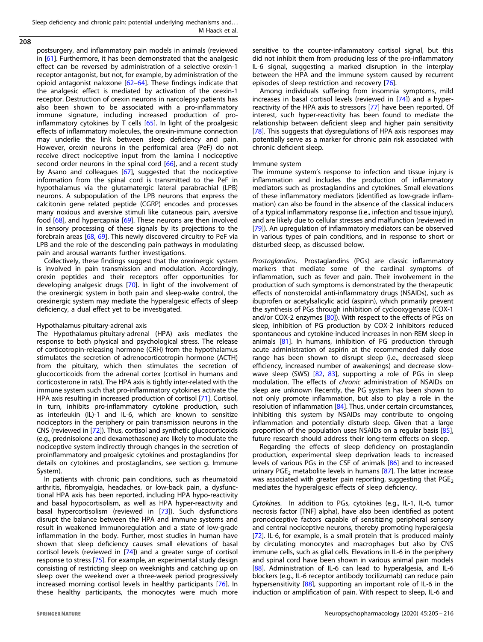Sleep deficiency and chronic pain: potential underlying mechanisms and. . . M Haack et al.

208

postsurgery, and inflammatory pain models in animals (reviewed in [[61\]](#page-9-0). Furthermore, it has been demonstrated that the analgesic effect can be reversed by administration of a selective orexin-1 receptor antagonist, but not, for example, by administration of the opioid antagonist naloxone [\[62](#page-9-0)–[64\]](#page-9-0). These findings indicate that the analgesic effect is mediated by activation of the orexin-1 receptor. Destruction of orexin neurons in narcolepsy patients has also been shown to be associated with a pro-inflammatory immune signature, including increased production of proinflammatory cytokines by T cells  $[65]$ . In light of the proalgesic effects of inflammatory molecules, the orexin-immune connection may underlie the link between sleep deficiency and pain. However, orexin neurons in the perifornical area (PeF) do not receive direct nociceptive input from the lamina I nociceptive second order neurons in the spinal cord [[66](#page-9-0)], and a recent study by Asano and colleagues [\[67\]](#page-9-0), suggested that the nociceptive information from the spinal cord is transmitted to the PeF in hypothalamus via the glutamatergic lateral parabrachial (LPB) neurons. A subpopulation of the LPB neurons that express the calcitonin gene related peptide (CGRP) encodes and processes many noxious and aversive stimuli like cutaneous pain, aversive food [[68](#page-9-0)], and hypercapnia [[69\]](#page-9-0). These neurons are then involved in sensory processing of these signals by its projections to the forebrain areas [\[68](#page-9-0), [69\]](#page-9-0). This newly discovered circuitry to PeF via LPB and the role of the descending pain pathways in modulating pain and arousal warrants further investigations.

Collectively, these findings suggest that the orexinergic system is involved in pain transmission and modulation. Accordingly, orexin peptides and their receptors offer opportunities for developing analgesic drugs [[70](#page-9-0)]. In light of the involvement of the orexinergic system in both pain and sleep-wake control, the orexinergic system may mediate the hyperalgesic effects of sleep deficiency, a dual effect yet to be investigated.

## Hypothalamus-pituitary-adrenal axis

The Hypothalamus-pituitary-adrenal (HPA) axis mediates the response to both physical and psychological stress. The release of corticotropin-releasing hormone (CRH) from the hypothalamus stimulates the secretion of adrenocorticotropin hormone (ACTH) from the pituitary, which then stimulates the secretion of glucocorticoids from the adrenal cortex (cortisol in humans and corticosterone in rats). The HPA axis is tightly inter-related with the immune system such that pro-inflammatory cytokines activate the HPA axis resulting in increased production of cortisol [[71\]](#page-9-0). Cortisol, in turn, inhibits pro-inflammatory cytokine production, such as interleukin (IL)-1 and IL-6, which are known to sensitize nociceptors in the periphery or pain transmission neurons in the CNS (reviewed in [[72](#page-9-0)]). Thus, cortisol and synthetic glucocorticoids (e.g., prednisolone and dexamethasone) are likely to modulate the nociceptive system indirectly through changes in the secretion of proinflammatory and proalgesic cytokines and prostaglandins (for details on cytokines and prostaglandins, see section g. Immune System).

In patients with chronic pain conditions, such as rheumatoid arthritis, fibromyalgia, headaches, or low-back pain, a dysfunctional HPA axis has been reported, including HPA hypo-reactivity and basal hypocortisolism, as well as HPA hyper-reactivity and basal hypercortisolism (reviewed in [[73\]](#page-9-0)). Such dysfunctions disrupt the balance between the HPA and immune systems and result in weakened immunoregulation and a state of low-grade inflammation in the body. Further, most studies in human have shown that sleep deficiency causes small elevations of basal cortisol levels (reviewed in [\[74](#page-9-0)]) and a greater surge of cortisol response to stress [[75](#page-9-0)]. For example, an experimental study design consisting of restricting sleep on weeknights and catching up on sleep over the weekend over a three-week period progressively increased morning cortisol levels in healthy participants [\[76](#page-9-0)]. In these healthy participants, the monocytes were much more sensitive to the counter-inflammatory cortisol signal, but this did not inhibit them from producing less of the pro-inflammatory IL-6 signal, suggesting a marked disruption in the interplay between the HPA and the immune system caused by recurrent episodes of sleep restriction and recovery [[76](#page-9-0)].

Among individuals suffering from insomnia symptoms, mild increases in basal cortisol levels (reviewed in [[74\]](#page-9-0)) and a hyperreactivity of the HPA axis to stressors [[77\]](#page-9-0) have been reported. Of interest, such hyper-reactivity has been found to mediate the relationship between deficient sleep and higher pain sensitivity [[78\]](#page-9-0). This suggests that dysregulations of HPA axis responses may potentially serve as a marker for chronic pain risk associated with chronic deficient sleep.

## Immune system

The immune system's response to infection and tissue injury is inflammation and includes the production of inflammatory mediators such as prostaglandins and cytokines. Small elevations of these inflammatory mediators (identified as low-grade inflammation) can also be found in the absence of the classical inducers of a typical inflammatory response (i.e., infection and tissue injury), and are likely due to cellular stresses and malfunction (reviewed in [[79\]](#page-9-0)). An upregulation of inflammatory mediators can be observed in various types of pain conditions, and in response to short or disturbed sleep, as discussed below.

Prostaglandins. Prostaglandins (PGs) are classic inflammatory markers that mediate some of the cardinal symptoms of inflammation, such as fever and pain. Their involvement in the production of such symptoms is demonstrated by the therapeutic effects of nonsteroidal anti-inflammatory drugs (NSAIDs), such as ibuprofen or acetylsalicylic acid (aspirin), which primarily prevent the synthesis of PGs through inhibition of cyclooxygenase (COX-1 and/or COX-2 enzymes [[80\]](#page-10-0)). With respect to the effects of PGs on sleep, inhibition of PG production by COX-2 inhibitors reduced spontaneous and cytokine-induced increases in non-REM sleep in animals [\[81\]](#page-10-0). In humans, inhibition of PG production through acute administration of aspirin at the recommended daily dose range has been shown to disrupt sleep (i.e., decreased sleep efficiency, increased number of awakenings) and decrease slowwave sleep (SWS)  $[82, 83]$  $[82, 83]$  $[82, 83]$  $[82, 83]$ , supporting a role of PGs in sleep modulation. The effects of chronic administration of NSAIDs on sleep are unknown Recently, the PG system has been shown to not only promote inflammation, but also to play a role in the resolution of inflammation [\[84](#page-10-0)]. Thus, under certain circumstances, inhibiting this system by NSAIDs may contribute to ongoing inflammation and potentially disturb sleep. Given that a large proportion of the population uses NSAIDs on a regular basis [[85](#page-10-0)], future research should address their long-term effects on sleep.

Regarding the effects of sleep deficiency on prostaglandin production, experimental sleep deprivation leads to increased levels of various PGs in the CSF of animals [[86\]](#page-10-0) and to increased urinary PGE<sub>2</sub> metabolite levels in humans  $[87]$  $[87]$ . The latter increase was associated with greater pain reporting, suggesting that  $PGE<sub>2</sub>$ mediates the hyperalgesic effects of sleep deficiency.

Cytokines. In addition to PGs, cytokines (e.g., IL-1, IL-6, tumor necrosis factor [TNF] alpha), have also been identified as potent pronociceptive factors capable of sensitizing peripheral sensory and central nociceptive neurons, thereby promoting hyperalgesia [[72\]](#page-9-0). IL-6, for example, is a small protein that is produced mainly by circulating monocytes and macrophages but also by CNS immune cells, such as glial cells. Elevations in IL-6 in the periphery and spinal cord have been shown in various animal pain models [[88\]](#page-10-0). Administration of IL-6 can lead to hyperalgesia, and IL-6 blockers (e.g., IL-6 receptor antibody tocilizumab) can reduce pain hypersensitivity [[88](#page-10-0)], supporting an important role of IL-6 in the induction or amplification of pain. With respect to sleep, IL-6 and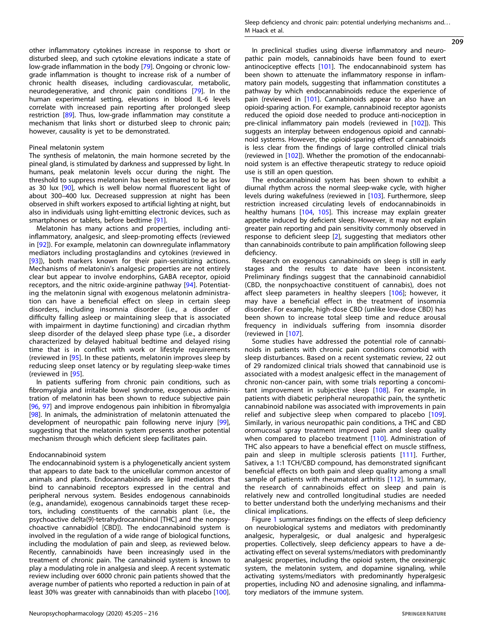other inflammatory cytokines increase in response to short or disturbed sleep, and such cytokine elevations indicate a state of low-grade inflammation in the body [\[79\]](#page-9-0). Ongoing or chronic lowgrade inflammation is thought to increase risk of a number of chronic health diseases, including cardiovascular, metabolic, neurodegenerative, and chronic pain conditions [\[79](#page-9-0)]. In the human experimental setting, elevations in blood IL-6 levels correlate with increased pain reporting after prolonged sleep restriction [\[89](#page-10-0)]. Thus, low-grade inflammation may constitute a mechanism that links short or disturbed sleep to chronic pain; however, causality is yet to be demonstrated.

## Pineal melatonin system

The synthesis of melatonin, the main hormone secreted by the pineal gland, is stimulated by darkness and suppressed by light. In humans, peak melatonin levels occur during the night. The threshold to suppress melatonin has been estimated to be as low as 30 lux [[90\]](#page-10-0), which is well below normal fluorescent light of about 300–400 lux. Decreased suppression at night has been observed in shift workers exposed to artificial lighting at night, but also in individuals using light-emitting electronic devices, such as smartphones or tablets, before bedtime [[91\]](#page-10-0).

Melatonin has many actions and properties, including antiinflammatory, analgesic, and sleep-promoting effects (reviewed in [\[92\]](#page-10-0)). For example, melatonin can downregulate inflammatory mediators including prostaglandins and cytokines (reviewed in [\[93\]](#page-10-0)), both markers known for their pain-sensitizing actions. Mechanisms of melatonin's analgesic properties are not entirely clear but appear to involve endorphins, GABA receptor, opioid receptors, and the nitric oxide-arginine pathway [\[94\]](#page-10-0). Potentiating the melatonin signal with exogenous melatonin administration can have a beneficial effect on sleep in certain sleep disorders, including insomnia disorder (i.e., a disorder of difficulty falling asleep or maintaining sleep that is associated with impairment in daytime functioning) and circadian rhythm sleep disorder of the delayed sleep phase type (i.e., a disorder characterized by delayed habitual bedtime and delayed rising time that is in conflict with work or lifestyle requirements (reviewed in [\[95\]](#page-10-0). In these patients, melatonin improves sleep by reducing sleep onset latency or by regulating sleep-wake times (reviewed in [\[95\]](#page-10-0).

In patients suffering from chronic pain conditions, such as fibromyalgia and irritable bowel syndrome, exogenous administration of melatonin has been shown to reduce subjective pain [\[96,](#page-10-0) [97\]](#page-10-0) and improve endogenous pain inhibition in fibromyalgia [\[98\]](#page-10-0). In animals, the administration of melatonin attenuated the development of neuropathic pain following nerve injury [\[99\]](#page-10-0), suggesting that the melatonin system presents another potential mechanism through which deficient sleep facilitates pain.

## Endocannabinoid system

The endocannabinoid system is a phylogenetically ancient system that appears to date back to the unicellular common ancestor of animals and plants. Endocannabinoids are lipid mediators that bind to cannabinoid receptors expressed in the central and peripheral nervous system. Besides endogenous cannabinoids (e.g., anandamide), exogenous cannabinoids target these receptors, including constituents of the cannabis plant (i.e., the psychoactive delta(9)-tetrahydrocannbinol [THC] and the nonpsychoactive cannabidiol [CBD]). The endocannabinoid system is involved in the regulation of a wide range of biological functions, including the modulation of pain and sleep, as reviewed below. Recently, cannabinoids have been increasingly used in the treatment of chronic pain. The cannabinoid system is known to play a modulating role in analgesia and sleep. A recent systematic review including over 6000 chronic pain patients showed that the average number of patients who reported a reduction in pain of at least 30% was greater with cannabinoids than with placebo [[100\]](#page-10-0). Sleep deficiency and chronic pain: potential underlying mechanisms and... M Haack et al.

209

In preclinical studies using diverse inflammatory and neuropathic pain models, cannabinoids have been found to exert antinociceptive effects [\[101](#page-10-0)]. The endocannabinoid system has been shown to attenuate the inflammatory response in inflammatory pain models, suggesting that inflammation constitutes a pathway by which endocannabinoids reduce the experience of pain (reviewed in [\[101\]](#page-10-0). Cannabinoids appear to also have an opioid-sparing action. For example, cannabinoid receptor agonists reduced the opioid dose needed to produce anti-nociception in pre-clinical inflammatory pain models (reviewed in [[102\]](#page-10-0)). This suggests an interplay between endogenous opioid and cannabinoid systems. However, the opioid-sparing effect of cannabinoids is less clear from the findings of large controlled clinical trials (reviewed in [[102](#page-10-0)]). Whether the promotion of the endocannabinoid system is an effective therapeutic strategy to reduce opioid use is still an open question.

The endocannabinoid system has been shown to exhibit a diurnal rhythm across the normal sleep-wake cycle, with higher levels during wakefulness (reviewed in [[103](#page-10-0)]. Furthermore, sleep restriction increased circulating levels of endocannabinoids in healthy humans [[104,](#page-10-0) [105\]](#page-10-0). This increase may explain greater appetite induced by deficient sleep. However, it may not explain greater pain reporting and pain sensitivity commonly observed in response to deficient sleep [[2](#page-8-0)], suggesting that mediators other than cannabinoids contribute to pain amplification following sleep deficiency.

Research on exogenous cannabinoids on sleep is still in early stages and the results to date have been inconsistent. Preliminary findings suggest that the cannabinoid cannabidiol (CBD, the nonpsychoactive constituent of cannabis), does not affect sleep parameters in healthy sleepers [[106\]](#page-10-0); however, it may have a beneficial effect in the treatment of insomnia disorder. For example, high-dose CBD (unlike low-dose CBD) has been shown to increase total sleep time and reduce arousal frequency in individuals suffering from insomnia disorder (reviewed in [\[107\]](#page-10-0).

Some studies have addressed the potential role of cannabinoids in patients with chronic pain conditions comorbid with sleep disturbances. Based on a recent systematic review, 22 out of 29 randomized clinical trials showed that cannabinoid use is associated with a modest analgesic effect in the management of chronic non-cancer pain, with some trials reporting a concomitant improvement in subjective sleep [[108\]](#page-10-0). For example, in patients with diabetic peripheral neuropathic pain, the synthetic cannabinoid nabilone was associated with improvements in pain relief and subjective sleep when compared to placebo [\[109\]](#page-10-0). Similarly, in various neuropathic pain conditions, a THC and CBD oromucosal spray treatment improved pain and sleep quality when compared to placebo treatment [[110\]](#page-10-0). Administration of THC also appears to have a beneficial effect on muscle stiffness, pain and sleep in multiple sclerosis patients [\[111](#page-10-0)]. Further, Sativex, a 1:1 TCH/CBD compound, has demonstrated significant beneficial effects on both pain and sleep quality among a small sample of patients with rheumatoid arthritis [[112\]](#page-10-0). In summary, the research of cannabinoids effect on sleep and pain is relatively new and controlled longitudinal studies are needed to better understand both the underlying mechanisms and their clinical implications.

Figure [1](#page-5-0) summarizes findings on the effects of sleep deficiency on neurobiological systems and mediators with predominantly analgesic, hyperalgesic, or dual analgesic and hyperalgesic properties. Collectively, sleep deficiency appears to have a deactivating effect on several systems/mediators with predominantly analgesic properties, including the opioid system, the orexinergic system, the melatonin system, and dopamine signaling, while activating systems/mediators with predominantly hyperalgesic properties, including NO and adenosine signaling, and inflammatory mediators of the immune system.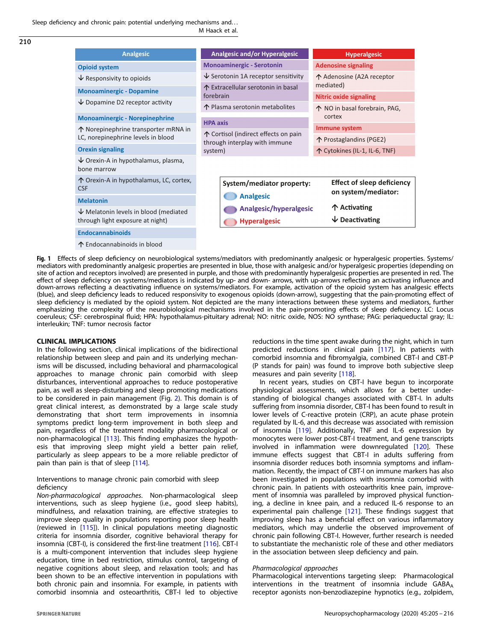<span id="page-5-0"></span>Sleep deficiency and chronic pain: potential underlying mechanisms and. . . M Haack et al.

| <b>Analgesic</b>                                                           | <b>Analgesic and/or Hyperalgesic</b>                                                                         | <b>Hyperalgesic</b>                    |
|----------------------------------------------------------------------------|--------------------------------------------------------------------------------------------------------------|----------------------------------------|
| <b>Opioid system</b>                                                       | <b>Monoaminergic - Serotonin</b>                                                                             | <b>Adenosine signaling</b>             |
| $\sqrt{}$ Responsivity to opioids                                          | $\overline{\mathsf{V}}$ Serotonin 1A receptor sensitivity<br>↑ Extracellular serotonin in basal<br>forebrain | ↑ Adenosine (A2A receptor<br>mediated) |
| <b>Monoaminergic - Dopamine</b>                                            |                                                                                                              |                                        |
| $\vee$ Dopamine D2 receptor activity                                       |                                                                                                              | <b>Nitric oxide signaling</b>          |
|                                                                            | ↑ Plasma serotonin metabolites                                                                               | ↑ NO in basal forebrain, PAG,          |
| <b>Monoaminergic - Norepinephrine</b>                                      | <b>HPA axis</b>                                                                                              | cortex                                 |
| ↑ Norepinephrine transporter mRNA in<br>LC, norepinephrine levels in blood | ↑ Cortisol (indirect effects on pain<br>through interplay with immune<br>system)                             | Immune system                          |
|                                                                            |                                                                                                              | 个 Prostaglandins (PGE2)                |
| <b>Orexin signaling</b>                                                    |                                                                                                              | ↑ Cytokines (IL-1, IL-6, TNF)          |
| $\vee$ Orexin-A in hypothalamus, plasma,<br>bone marrow                    |                                                                                                              |                                        |
| ↑ Orexin-A in hypothalamus, LC, cortex,<br><b>CSF</b>                      | System/mediator property:<br><b>Analgesic</b>                                                                | <b>Effect of sleep deficiency</b>      |
|                                                                            |                                                                                                              | on system/mediator:                    |
| <b>Melatonin</b>                                                           | 个 Activating                                                                                                 |                                        |
| $\vee$ Melatonin levels in blood (mediated                                 | <b>Analgesic/hyperalgesic</b>                                                                                |                                        |
| through light exposure at night)                                           | $\vee$ Deactivating<br><b>Hyperalgesic</b>                                                                   |                                        |
| <b>Endocannabinoids</b>                                                    |                                                                                                              |                                        |
| ↑ Endocannabinoids in blood                                                |                                                                                                              |                                        |

Fig. 1 Effects of sleep deficiency on neurobiological systems/mediators with predominantly analgesic or hyperalgesic properties. Systems/ mediators with predominantly analgesic properties are presented in blue, those with analgesic and/or hyperalgesic properties (depending on site of action and receptors involved) are presented in purple, and those with predominantly hyperalgesic properties are presented in red. The effect of sleep deficiency on systems/mediators is indicated by up- and down- arrows, with up-arrows reflecting an activating influence and down-arrows reflecting a deactivating influence on systems/mediators. For example, activation of the opioid system has analgesic effects (blue), and sleep deficiency leads to reduced responsivity to exogenous opioids (down-arrow), suggesting that the pain-promoting effect of sleep deficiency is mediated by the opioid system. Not depicted are the many interactions between these systems and mediators, further emphasizing the complexity of the neurobiological mechanisms involved in the pain-promoting effects of sleep deficiency. LC: Locus coeruleus; CSF: cerebrospinal fluid; HPA: hypothalamus-pituitary adrenal; NO: nitric oxide, NOS: NO synthase; PAG: periaqueductal gray; IL: interleukin; TNF: tumor necrosis factor

## CLINICAL IMPLICATIONS

In the following section, clinical implications of the bidirectional relationship between sleep and pain and its underlying mechanisms will be discussed, including behavioral and pharmacological approaches to manage chronic pain comorbid with sleep disturbances, interventional approaches to reduce postoperative pain, as well as sleep-disturbing and sleep promoting medications to be considered in pain management (Fig. [2\)](#page-6-0). This domain is of great clinical interest, as demonstrated by a large scale study demonstrating that short term improvements in insomnia symptoms predict long-term improvement in both sleep and pain, regardless of the treatment modality pharmacological or non-pharmacological [[113\]](#page-10-0). This finding emphasizes the hypothesis that improving sleep might yield a better pain relief, particularly as sleep appears to be a more reliable predictor of pain than pain is that of sleep [\[114](#page-10-0)].

Interventions to manage chronic pain comorbid with sleep deficiency

Non-pharmacological approaches. Non-pharmacological sleep interventions, such as sleep hygiene (i.e., good sleep habits), mindfulness, and relaxation training, are effective strategies to improve sleep quality in populations reporting poor sleep health (reviewed in [\[115](#page-10-0)]). In clinical populations meeting diagnostic criteria for insomnia disorder, cognitive behavioral therapy for insomnia (CBT-I), is considered the first-line treatment [[116](#page-10-0)]. CBT-I is a multi-component intervention that includes sleep hygiene education, time in bed restriction, stimulus control, targeting of negative cognitions about sleep, and relaxation tools; and has been shown to be an effective intervention in populations with both chronic pain and insomnia. For example, in patients with comorbid insomnia and osteoarthritis, CBT-I led to objective reductions in the time spent awake during the night, which in turn predicted reductions in clinical pain [\[117\]](#page-10-0). In patients with comorbid insomnia and fibromyalgia, combined CBT-I and CBT-P (P stands for pain) was found to improve both subjective sleep measures and pain severity [[118\]](#page-10-0).

In recent years, studies on CBT-I have begun to incorporate physiological assessments, which allows for a better understanding of biological changes associated with CBT-I. In adults suffering from insomnia disorder, CBT-I has been found to result in lower levels of C-reactive protein (CRP), an acute phase protein regulated by IL-6, and this decrease was associated with remission of insomnia [\[119](#page-10-0)]. Additionally, TNF and IL-6 expression by monocytes were lower post-CBT-I treatment, and gene transcripts involved in inflammation were downregulated [[120](#page-10-0)]. These immune effects suggest that CBT-I in adults suffering from insomnia disorder reduces both insomnia symptoms and inflammation. Recently, the impact of CBT-I on immune markers has also been investigated in populations with insomnia comorbid with chronic pain. In patients with osteoarthritis knee pain, improvement of insomnia was paralleled by improved physical functioning, a decline in knee pain, and a reduced IL-6 response to an experimental pain challenge [\[121\]](#page-10-0). These findings suggest that improving sleep has a beneficial effect on various inflammatory mediators, which may underlie the observed improvement of chronic pain following CBT-I. However, further research is needed to substantiate the mechanistic role of these and other mediators in the association between sleep deficiency and pain.

#### Pharmacological approaches

Pharmacological interventions targeting sleep: Pharmacological interventions in the treatment of insomnia include  $GABA_A$ receptor agonists non-benzodiazepine hypnotics (e.g., zolpidem,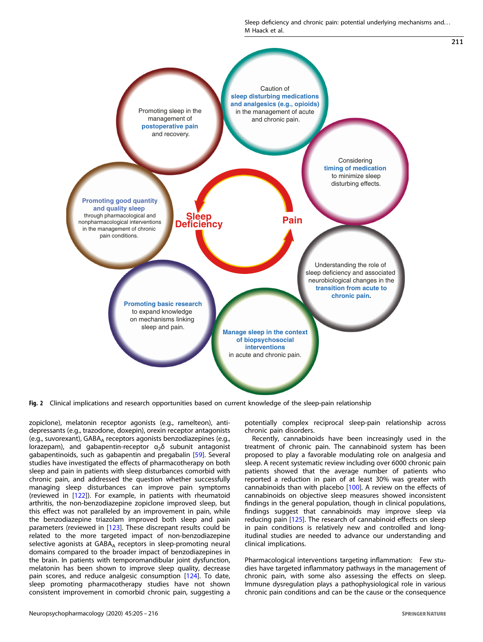Sleep deficiency and chronic pain: potential underlying mechanisms and. . . M Haack et al.

<span id="page-6-0"></span>

Fig. 2 Clinical implications and research opportunities based on current knowledge of the sleep-pain relationship

zopiclone), melatonin receptor agonists (e.g., ramelteon), antidepressants (e.g., trazodone, doxepin), orexin receptor antagonists (e.g., suvorexant), GABA<sub>A</sub> receptors agonists benzodiazepines (e.g., lorazepam), and gabapentin-receptor  $\alpha_2\delta$  subunit antagonist gabapentinoids, such as gabapentin and pregabalin [\[59\]](#page-9-0). Several studies have investigated the effects of pharmacotherapy on both sleep and pain in patients with sleep disturbances comorbid with chronic pain, and addressed the question whether successfully managing sleep disturbances can improve pain symptoms (reviewed in [[122](#page-10-0)]). For example, in patients with rheumatoid arthritis, the non-benzodiazepine zopiclone improved sleep, but this effect was not paralleled by an improvement in pain, while the benzodiazepine triazolam improved both sleep and pain parameters (reviewed in [\[123\]](#page-10-0). These discrepant results could be related to the more targeted impact of non-benzodiazepine selective agonists at GABA<sub>A</sub> receptors in sleep-promoting neural domains compared to the broader impact of benzodiazepines in the brain. In patients with temporomandibular joint dysfunction, melatonin has been shown to improve sleep quality, decrease pain scores, and reduce analgesic consumption [[124](#page-10-0)]. To date, sleep promoting pharmacotherapy studies have not shown consistent improvement in comorbid chronic pain, suggesting a potentially complex reciprocal sleep-pain relationship across chronic pain disorders.

Recently, cannabinoids have been increasingly used in the treatment of chronic pain. The cannabinoid system has been proposed to play a favorable modulating role on analgesia and sleep. A recent systematic review including over 6000 chronic pain patients showed that the average number of patients who reported a reduction in pain of at least 30% was greater with cannabinoids than with placebo [[100](#page-10-0)]. A review on the effects of cannabinoids on objective sleep measures showed inconsistent findings in the general population, though in clinical populations, findings suggest that cannabinoids may improve sleep via reducing pain [\[125](#page-10-0)]. The research of cannabinoid effects on sleep in pain conditions is relatively new and controlled and longitudinal studies are needed to advance our understanding and clinical implications.

Pharmacological interventions targeting inflammation: Few studies have targeted inflammatory pathways in the management of chronic pain, with some also assessing the effects on sleep. Immune dysregulation plays a pathophysiological role in various chronic pain conditions and can be the cause or the consequence

211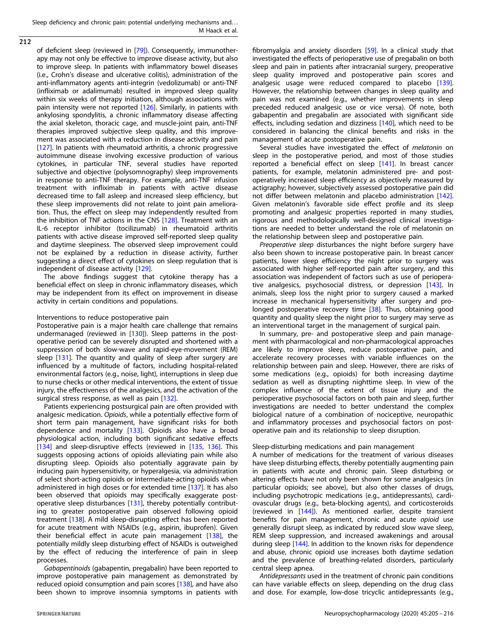212

of deficient sleep (reviewed in [[79](#page-9-0)]). Consequently, immunotherapy may not only be effective to improve disease activity, but also to improve sleep. In patients with inflammatory bowel diseases (i.e., Crohn's disease and ulcerative colitis), administration of the anti-inflammatory agents anti-integrin (vedolizumab) or anti-TNF (infliximab or adalimumab) resulted in improved sleep quality within six weeks of therapy initiation, although associations with pain intensity were not reported [[126\]](#page-10-0). Similarly, in patients with ankylosing spondylitis, a chronic inflammatory disease affecting the axial skeleton, thoracic cage, and muscle-joint pain, anti-TNF therapies improved subjective sleep quality, and this improvement was associated with a reduction in disease activity and pain [[127\]](#page-10-0). In patients with rheumatoid arthritis, a chronic progressive autoimmune disease involving excessive production of various cytokines, in particular TNF, several studies have reported subjective and objective (polysomnography) sleep improvements in response to anti-TNF therapy. For example, anti-TNF infusion treatment with infliximab in patients with active disease decreased time to fall asleep and increased sleep efficiency, but these sleep improvements did not relate to joint pain amelioration. Thus, the effect on sleep may independently resulted from the inhibition of TNF actions in the CNS [\[128](#page-10-0)]. Treatment with an IL-6 receptor inhibitor (tocilizumab) in rheumatoid arthritis patients with active disease improved self-reported sleep quality and daytime sleepiness. The observed sleep improvement could not be explained by a reduction in disease activity, further suggesting a direct effect of cytokines on sleep regulation that is independent of disease activity [[129\]](#page-10-0).

The above findings suggest that cytokine therapy has a beneficial effect on sleep in chronic inflammatory diseases, which may be independent from its effect on improvement in disease activity in certain conditions and populations.

## Interventions to reduce postoperative pain

Postoperative pain is a major health care challenge that remains undermanaged (reviewed in  $[130]$  $[130]$ ). Sleep patterns in the postoperative period can be severely disrupted and shortened with a suppression of both slow-wave and rapid-eye-movement (REM) sleep [\[131](#page-10-0)]. The quantity and quality of sleep after surgery are influenced by a multitude of factors, including hospital-related environmental factors (e.g., noise, light), interruptions in sleep due to nurse checks or other medical interventions, the extent of tissue injury, the effectiveness of the analgesics, and the activation of the surgical stress response, as well as pain [\[132\]](#page-11-0).

Patients experiencing postsurgical pain are often provided with analgesic medication. Opioids, while a potentially effective form of short term pain management, have significant risks for both dependence and mortality [\[133](#page-11-0)]. Opioids also have a broad physiological action, including both significant sedative effects [[134\]](#page-11-0) and sleep-disruptive effects (reviewed in [[135,](#page-11-0) [136\]](#page-11-0). This suggests opposing actions of opioids alleviating pain while also disrupting sleep. Opioids also potentially aggravate pain by inducing pain hypersensitivity, or hyperalgesia, via administration of select short-acting opioids or intermediate-acting opioids when administered in high doses or for extended time [[137](#page-11-0)]. It has also been observed that opioids may specifically exaggerate postoperative sleep disturbances [[131\]](#page-10-0), thereby potentially contributing to greater postoperative pain observed following opioid treatment [[138\]](#page-11-0). A mild sleep-disrupting effect has been reported for acute treatment with NSAIDs (e.g., aspirin, ibuprofen). Given their beneficial effect in acute pain management [\[138\]](#page-11-0), the potentially mildly sleep disturbing effect of NSAIDs is outweighed by the effect of reducing the interference of pain in sleep processes.

Gabapentinoids (gabapentin, pregabalin) have been reported to improve postoperative pain management as demonstrated by reduced opioid consumption and pain scores [[138\]](#page-11-0), and have also been shown to improve insomnia symptoms in patients with

fibromyalgia and anxiety disorders [[59\]](#page-9-0). In a clinical study that investigated the effects of perioperative use of pregabalin on both sleep and pain in patients after intracranial surgery, preoperative sleep quality improved and postoperative pain scores and analgesic usage were reduced compared to placebo [\[139](#page-11-0)]. However, the relationship between changes in sleep quality and pain was not examined (e.g., whether improvements in sleep preceded reduced analgesic use or vice versa). Of note, both gabapentin and pregabalin are associated with significant side effects, including sedation and dizziness [\[140](#page-11-0)], which need to be considered in balancing the clinical benefits and risks in the management of acute postoperative pain.

Several studies have investigated the effect of *melatonin* on sleep in the postoperative period, and most of those studies reported a beneficial effect on sleep [\[141\]](#page-11-0). In breast cancer patients, for example, melatonin administered pre- and postoperatively increased sleep efficiency as objectively measured by actigraphy; however, subjectively assessed postoperative pain did not differ between melatonin and placebo administration [\[142](#page-11-0)]. Given melatonin's favorable side effect profile and its sleep promoting and analgesic properties reported in many studies, rigorous and methodologically well-designed clinical investigations are needed to better understand the role of melatonin on the relationship between sleep and postoperative pain.

Preoperative sleep disturbances the night before surgery have also been shown to increase postoperative pain. In breast cancer patients, lower sleep efficiency the night prior to surgery was associated with higher self-reported pain after surgery, and this association was independent of factors such as use of perioperative analgesics, psychosocial distress, or depression [[143](#page-11-0)]. In animals, sleep loss the night prior to surgery caused a marked increase in mechanical hypersensitivity after surgery and pro-longed postoperative recovery time [[38](#page-9-0)]. Thus, obtaining good quantity and quality sleep the night prior to surgery may serve as an interventional target in the management of surgical pain.

In summary, pre- and postoperative sleep and pain management with pharmacological and non-pharmacological approaches are likely to improve sleep, reduce postoperative pain, and accelerate recovery processes with variable influences on the relationship between pain and sleep. However, there are risks of some medications (e.g., opioids) for both increasing daytime sedation as well as disrupting nighttime sleep. In view of the complex influence of the extent of tissue injury and the perioperative psychosocial factors on both pain and sleep, further investigations are needed to better understand the complex biological nature of a combination of nociceptive, neuropathic and inflammatory processes and psychosocial factors on postoperative pain and its relationship to sleep disruption.

## Sleep-disturbing medications and pain management

A number of medications for the treatment of various diseases have sleep disturbing effects, thereby potentially augmenting pain in patients with acute and chronic pain. Sleep disturbing or altering effects have not only been shown for some analgesics (in particular opioids; see above), but also other classes of drugs, including psychotropic medications (e.g., antidepressants), cardiovascular drugs (e.g., beta-blocking agents), and corticosteroids (reviewed in [[144](#page-11-0)]). As mentioned earlier, despite transient benefits for pain management, chronic and acute opioid use generally disrupt sleep, as indicated by reduced slow wave sleep, REM sleep suppression, and increased awakenings and arousal during sleep [\[144](#page-11-0)]. In addition to the known risks for dependence and abuse, chronic opioid use increases both daytime sedation and the prevalence of breathing-related disorders, particularly central sleep apnea.

Antidepressants used in the treatment of chronic pain conditions can have variable effects on sleep, depending on the drug class and dose. For example, low-dose tricyclic antidepressants (e.g.,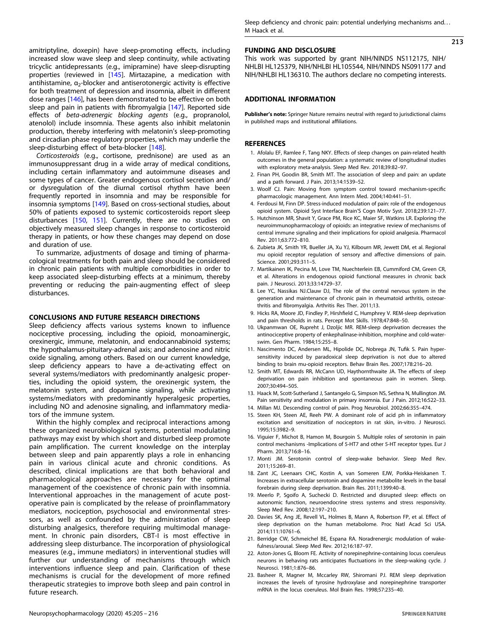<span id="page-8-0"></span>amitriptyline, doxepin) have sleep-promoting effects, including increased slow wave sleep and sleep continuity, while activating tricyclic antidepressants (e.g., imipramine) have sleep-disrupting properties (reviewed in [\[145\]](#page-11-0). Mirtazapine, a medication with antihistamine,  $\alpha_2$ -blocker and antiserotonergic activity is effective for both treatment of depression and insomnia, albeit in different dose ranges [\[146\]](#page-11-0), has been demonstrated to be effective on both sleep and pain in patients with fibromyalgia [\[147\]](#page-11-0). Reported side effects of beta-adrenergic blocking agents (e.g., propranolol, atenolol) include insomnia. These agents also inhibit melatonin production, thereby interfering with melatonin's sleep-promoting and circadian phase regulatory properties, which may underlie the sleep-disturbing effect of beta-blocker [\[148](#page-11-0)].

Corticosteroids (e.g., cortisone, prednisone) are used as an immunosuppressant drug in a wide array of medical conditions, including certain inflammatory and autoimmune diseases and some types of cancer. Greater endogenous cortisol secretion and/ or dysregulation of the diurnal cortisol rhythm have been frequently reported in insomnia and may be responsible for insomnia symptoms [[149](#page-11-0)]. Based on cross-sectional studies, about 50% of patients exposed to systemic corticosteroids report sleep disturbances [\[150](#page-11-0), [151\]](#page-11-0). Currently, there are no studies on objectively measured sleep changes in response to corticosteroid therapy in patients, or how these changes may depend on dose and duration of use.

To summarize, adjustments of dosage and timing of pharmacological treatments for both pain and sleep should be considered in chronic pain patients with multiple comorbidities in order to keep associated sleep-disturbing effects at a minimum, thereby preventing or reducing the pain-augmenting effect of sleep disturbances.

## CONCLUSIONS AND FUTURE RESEARCH DIRECTIONS

Sleep deficiency affects various systems known to influence nociceptive processing, including the opioid, monoaminergic, orexinergic, immune, melatonin, and endocannabinoid systems; the hypothalamus-pituitary-adrenal axis; and adenosine and nitric oxide signaling, among others. Based on our current knowledge, sleep deficiency appears to have a de-activating effect on several systems/mediators with predominantly analgesic properties, including the opioid system, the orexinergic system, the melatonin system, and dopamine signaling, while activating systems/mediators with predominantly hyperalgesic properties, including NO and adenosine signaling, and inflammatory mediators of the immune system.

Within the highly complex and reciprocal interactions among these organized neurobiological systems, potential modulating pathways may exist by which short and disturbed sleep promote pain amplification. The current knowledge on the interplay between sleep and pain apparently plays a role in enhancing pain in various clinical acute and chronic conditions. As described, clinical implications are that both behavioral and pharmacological approaches are necessary for the optimal management of the coexistence of chronic pain with insomnia. Interventional approaches in the management of acute postoperative pain is complicated by the release of proinflammatory mediators, nociception, psychosocial and environmental stressors, as well as confounded by the administration of sleep disturbing analgesics, therefore requiring multimodal management. In chronic pain disorders, CBT-I is most effective in addressing sleep disturbance. The incorporation of physiological measures (e.g., immune mediators) in interventional studies will further our understanding of mechanisms through which interventions influence sleep and pain. Clarification of these mechanisms is crucial for the development of more refined therapeutic strategies to improve both sleep and pain control in future research.

213

#### FUNDING AND DISCLOSURE

This work was supported by grant NIH/NINDS NS112175, NIH/ NHLBI HL125379, NIH/NHLBI HL105544, NIH/NINDS NS091177 and NIH/NHLBI HL136310. The authors declare no competing interests.

## ADDITIONAL INFORMATION

Publisher's note: Springer Nature remains neutral with regard to jurisdictional claims in published maps and institutional affiliations.

#### **REFERENCES**

- 1. Afolalu EF, Ramlee F, Tang NKY. Effects of sleep changes on pain-related health outcomes in the general population: a systematic review of longitudinal studies with exploratory meta-analysis. Sleep Med Rev. 2018;39:82–97.
- 2. Finan PH, Goodin BR, Smith MT. The association of sleep and pain: an update and a path forward. J Pain. 2013;14:1539–52.
- 3. Woolf CJ. Pain: Moving from symptom control toward mechanism-specific pharmacologic management. Ann Intern Med. 2004;140:441–51.
- 4. Ferdousi M, Finn DP. Stress-induced modulation of pain: role of the endogenous opioid system. Opioid Syst Interface Brain'S Cogn Motiv Syst. 2018;239:121–77.
- 5. Hutchinson MR, Shavit Y, Grace PM, Rice KC, Maier SF, Watkins LR. Exploring the neuroimmunopharmacology of opioids: an integrative review of mechanisms of central immune signaling and their implications for opioid analgesia. Pharmacol Rev. 2011;63:772–810.
- 6. Zubieta JK, Smith YR, Bueller JA, Xu YJ, Kilbourn MR, Jewett DM, et al. Regional mu opioid receptor regulation of sensory and affective dimensions of pain. Science. 2001;293:311–5.
- 7. Martikainen IK, Pecina M, Love TM, Nuechterlein EB, Cummiford CM, Green CR, et al. Alterations in endogenous opioid functional measures in chronic back pain. J Neurosci. 2013;33:14729–37.
- 8. Lee YC, Nassikas NJ.Clauw DJ, The role of the central nervous system in the generation and maintenance of chronic pain in rheumatoid arthritis, osteoarthritis and fibromyalgia. Arthritis Res Ther. 2011;13.
- 9. Hicks RA, Moore JD, Findley P, Hirshfield C, Humphrey V. REM-sleep deprivation and pain thresholds in rats. Percept Mot Skills. 1978;47:848–50.
- 10. Ukpanmwan OE, Rupreht J, Dzoljic MR. REM-sleep deprivation decreases the antinociceptive property of enkephalinase-inhibition, morphine and cold-waterswim. Gen Pharm. 1984;15:255–8.
- 11. Nascimento DC, Andersen ML, Hipolide DC, Nobrega JN, Tufik S. Pain hypersensitivity induced by paradoxical sleep deprivation is not due to altered binding to brain mu-opioid receptors. Behav Brain Res. 2007;178:216–20.
- 12. Smith MT, Edwards RR, McCann UD, Haythornthwaite JA. The effects of sleep deprivation on pain inhibition and spontaneous pain in women. Sleep. 2007;30:494–505.
- 13. Haack M, Scott-Sutherland J, Santangelo G, Simpson NS, Sethna N, Mullington JM. Pain sensitivity and modulation in primary insomnia. Eur J Pain. 2012;16:522–33.
- 14. Millan MJ. Descending control of pain. Prog Neurobiol. 2002;66:355–474.
- 15. Steen KH, Steen AE, Reeh PW. A dominant role of acid ph in inflammatory excitation and sensitization of nociceptors in rat skin, in-vitro. J Neurosci. 1995;15:3982–9.
- 16. Viguier F, Michot B, Hamon M, Bourgoin S. Multiple roles of serotonin in pain control mechanisms -Implications of 5-HT7 and other 5-HT receptor types. Eur J Pharm. 2013;716:8–16.
- 17. Monti JM. Serotonin control of sleep-wake behavior. Sleep Med Rev. 2011;15:269–81.
- 18. Zant JC, Leenaars CHC, Kostin A, van Someren EJW, Porkka-Heiskanen T. Increases in extracellular serotonin and dopamine metabolite levels in the basal forebrain during sleep deprivation. Brain Res. 2011;1399:40–8.
- 19. Meerlo P, Sgoifo A, Suchecki D. Restricted and disrupted sleep: effects on autonomic function, neuroendocrine stress systems and stress responsivity. Sleep Med Rev. 2008;12:197–210.
- 20. Davies SK, Ang JE, Revell VL, Holmes B, Mann A, Robertson FP, et al. Effect of sleep deprivation on the human metabolome. Proc Natl Acad Sci USA. 2014;111:10761–6.
- 21. Berridge CW, Schmeichel BE, Espana RA. Noradrenergic modulation of wakefulness/arousal. Sleep Med Rev. 2012;16:187–97.
- 22. Aston-Jones G, Bloom FE. Activity of norepinephrine-containing locus coeruleus neurons in behaving rats anticipates fluctuations in the sleep-waking cycle. J Neurosci. 1981;1:876–86.
- 23. Basheer R, Magner M, Mccarley RW, Shiromani PJ. REM sleep deprivation increases the levels of tyrosine hydroxylase and norepinephrine transporter mRNA in the locus coeruleus. Mol Brain Res. 1998;57:235–40.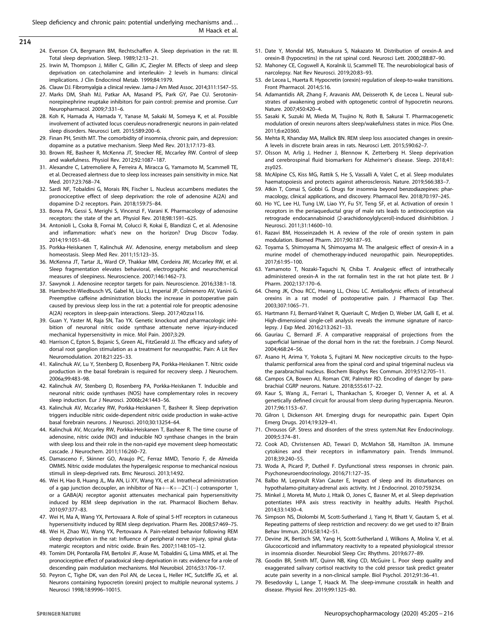- <span id="page-9-0"></span>214
- 24. Everson CA, Bergmann BM, Rechtschaffen A. Sleep deprivation in the rat: III. Total sleep deprivation. Sleep. 1989;12:13–21.
- 25. Irwin M, Thompson J, Miller C, Gillin JC, Ziegler M. Effects of sleep and sleep deprivation on catecholamine and interleukin- 2 levels in humans: clinical implications. J Clin Endocrinol Metab. 1999;84:1979.
- 26. Clauw DJ. Fibromyalgia a clinical review. Jama-J Am Med Assoc. 2014;311:1547–55.
- 27. Marks DM, Shah MJ, Patkar AA, Masand PS, Park GY, Pae CU. Serotoninnorepinephrine reuptake inhibitors for pain control: premise and promise. Curr Neuropharmacol. 2009;7:331–6.
- 28. Koh K, Hamada A, Hamada Y, Yanase M, Sakaki M, Someya K, et al. Possible involvement of activated locus coeruleus-noradrenergic neurons in pain-related sleep disorders. Neurosci Lett. 2015;589:200–6.
- 29. Finan PH, Smith MT. The comorbidity of insomnia, chronic pain, and depression: dopamine as a putative mechanism. Sleep Med Rev. 2013;17:173–83.
- 30. Brown RE, Basheer R, McKenna JT, Strecker RE, Mccarley RW. Control of sleep and wakefulness. Physiol Rev. 2012;92:1087–187.
- 31. Alexandre C, Latremoliere A, Ferreira A, Miracca G, Yamamoto M, Scammell TE, et al. Decreased alertness due to sleep loss increases pain sensitivity in mice. Nat Med. 2017;23:768–74.
- 32. Sardi NF, Tobaldini G, Morais RN, Fischer L. Nucleus accumbens mediates the pronociceptive effect of sleep deprivation: the role of adenosine A(2A) and dopamine D-2 receptors. Pain. 2018;159:75–84.
- 33. Borea PA, Gessi S, Merighi S, Vincenzi F, Varani K. Pharmacology of adenosine receptors: the state of the art. Physiol Rev. 2018;98:1591–625.
- 34. Antonioli L, Csoka B, Fornai M, Colucci R, Kokai E, Blandizzi C, et al. Adenosine and inflammation: what's new on the horizon? Drug Discov Today. 2014;19:1051–68.
- 35. Porkka-Heiskanen T, Kalinchuk AV. Adenosine, energy metabolism and sleep homeostasis. Sleep Med Rev. 2011;15:123–35.
- 36. McKenna JT, Tartar JL, Ward CP, Thakkar MM, Cordeira JW, Mccarley RW, et al. Sleep fragmentation elevates behavioral, electrographic and neurochemical measures of sleepiness. Neuroscience. 2007;146:1462–73.
- 37. Sawynok J. Adenosine receptor targets for pain. Neuroscience. 2016;338:1–18.
- 38. Hambrecht-Wiedbusch VS, Gabel M, Liu LJ, Imperial JP, Colmenero AV, Vanini G. Preemptive caffeine administration blocks the increase in postoperative pain caused by previous sleep loss in the rat: a potential role for preoptic adenosine A(2A) receptors in sleep-pain interactions. Sleep. 2017;40:zsx116.
- 39. Guan Y, Yaster M, Raja SN, Tao YX. Genetic knockout and pharmacologic inhibition of neuronal nitric oxide synthase attenuate nerve injury-induced mechanical hypersensitivity in mice. Mol Pain. 2007;3:29.
- 40. Harrison C, Epton S, Bojanic S, Green AL, FitzGerald JJ. The efficacy and safety of dorsal root ganglion stimulation as a treatment for neuropathic. Pain: A Lit Rev Neuromodulation. 2018;21:225–33.
- 41. Kalinchuk AV, Lu Y, Stenberg D, Rosenberg PA, Porkka-Heiskanen T. Nitric oxide production in the basal forebrain is required for recovery sleep. J Neurochem. 2006a;99:483–98.
- 42. Kalinchuk AV, Stenberg D, Rosenberg PA, Porkka-Heiskanen T. Inducible and neuronal nitric oxide synthases (NOS) have complementary roles in recovery sleep induction. Eur J Neurosci. 2006b;24:1443–56.
- 43. Kalinchuk AV, Mccarley RW, Porkka-Heiskanen T, Basheer R. Sleep deprivation triggers inducible nitric oxide-dependent nitric oxide production in wake-active basal forebrain neurons. J Neurosci. 2010;30:13254–64.
- 44. Kalinchuk AV, Mccarley RW, Porkka-Heiskanen T, Basheer R. The time course of adenosine, nitric oxide (NO) and inducible NO synthase changes in the brain with sleep loss and their role in the non-rapid eye movement sleep homeostatic cascade. J Neurochem. 2011;116:260–72.
- 45. Damasceno F, Skinner GO, Araujo PC, Ferraz MMD, Tenorio F, de Almeida OMMS. Nitric oxide modulates the hyperalgesic response to mechanical noxious stimuli in sleep-deprived rats. Bmc Neurosci. 2013;14:92.
- 46. Wei H, Hao B, Huang JL, Ma AN, Li XY, Wang YX, et al. Intrathecal administration of a gap junction decoupler, an inhibitor of Na+−K+−2C1(−) cotransporter 1, or a GABA(A) receptor agonist attenuates mechanical pain hypersensitivity induced by REM sleep deprivation in the rat. Pharmacol Biochem Behav. 2010;97:377–83.
- 47. Wei H, Ma A, Wang YX, Pertovaara A. Role of spinal 5-HT receptors in cutaneous hypersensitivity induced by REM sleep deprivation. Pharm Res. 2008;57:469–75.
- 48. Wei H, Zhao WJ, Wang YX, Pertovaara A. Pain-related behavior following REM sleep deprivation in the rat: Influence of peripheral nerve injury, spinal glutamatergic receptors and nitric oxide. Brain Res. 2007;1148:105–12.
- 49. Tomim DH, Pontarolla FM, Bertolini JF, Arase M, Tobaldini G, Lima MMS, et al. The pronociceptive effect of paradoxical sleep deprivation in rats: evidence for a role of descending pain modulation mechanisms. Mol Neurobiol. 2016;53:1706–17.
- 50. Peyron C, Tighe DK, van den Pol AN, de Lecea L, Heller HC, Sutcliffe JG, et al. Neurons containing hypocretin (orexin) project to multiple neuronal systems. J Neurosci 1998;18:9996–10015.
- 51. Date Y, Mondal MS, Matsukura S, Nakazato M. Distribution of orexin-A and orexin-B (hypocretins) in the rat spinal cord. Neurosci Lett. 2000;288:87–90.
- 52. Mahoney CE, Cogswell A, Koralnik IJ, Scammell TE. The neurobiological basis of narcolepsy. Nat Rev Neurosci. 2019;20:83–93.
- 53. de Lecea L, Huerta R. Hypocretin (orexin) regulation of sleep-to-wake transitions. Front Pharmacol. 2014;5:16.
- 54. Adamantidis AR, Zhang F, Aravanis AM, Deisseroth K, de Lecea L. Neural substrates of awakening probed with optogenetic control of hypocretin neurons. Nature. 2007;450:420–4.
- 55. Sasaki K, Suzuki M, Mieda M, Tsujino N, Roth B, Sakurai T. Pharmacogenetic modulation of orexin neurons alters sleep/wakefulness states in mice. Plos One. 2011;6:e20360.
- 56. Mehta R, Khanday MA, Mallick BN. REM sleep loss associated changes in orexin-A levels in discrete brain areas in rats. Neurosci Lett. 2015;590:62–7.
- 57. Olsson M, Arlig J, Hedner J, Blennow K, Zetterberg H. Sleep deprivation and cerebrospinal fluid biomarkers for Alzheimer's disease. Sleep. 2018;41: zsy025
- 58. McAlpine CS, Kiss MG, Rattik S, He S, Vassalli A, Valet C, et al. Sleep modulates haematopoiesis and protects against atherosclerosis. Nature. 2019;566:383–7.
- 59. Atkin T, Comai S, Gobbi G. Drugs for insomnia beyond benzodiazepines: pharmacology, clinical applications, and discovery. Pharmacol Rev. 2018;70:197–245.
- 60. Ho YC, Lee HJ, Tung LW, Liao YY, Fu SY, Teng SF, et al. Activation of orexin 1 receptors in the periaqueductal gray of male rats leads to antinociception via retrograde endocannabinoid (2-arachidonoylglycerol)-induced disinhibition. J Neurosci. 2011;31:14600–10.
- 61. Razavi BM, Hosseinzadeh H. A review of the role of orexin system in pain modulation. Biomed Pharm. 2017;90:187–93.
- 62. Toyama S, Shimoyama N, Shimoyama M. The analgesic effect of orexin-A in a murine model of chemotherapy-induced neuropathic pain. Neuropeptides. 2017;61:95–100.
- 63. Yamamoto T, Nozaki-Taguchi N, Chiba T. Analgesic effect of intrathecally administered orexin-A in the rat formalin test in the rat hot plate test. Br J Pharm. 2002;137:170–6.
- 64. Cheng JK, Chou RCC, Hwang LL, Chiou LC. Antiallodynic effects of intrathecal orexins in a rat model of postoperative pain. J Pharmacol Exp Ther. 2003;307:1065–71.
- 65. Hartmann FJ, Bernard-Valnet R, Queriault C, Mrdjen D, Weber LM, Galli E, et al. High-dimensional single-cell analysis reveals the immune signature of narcolepsy. J Exp Med. 2016;213:2621–33.
- 66. Gauriau C, Bernard JF. A comparative reappraisal of projections from the superficial laminae of the dorsal horn in the rat: the forebrain. J Comp Neurol. 2004;468:24–56.
- 67. Asano H, Arima Y, Yokota S, Fujitani M. New nociceptive circuits to the hypothalamic perifornical area from the spinal cord and spinal trigeminal nucleus via the parabrachial nucleus. Biochem Biophys Res Commun. 2019;512:705–11.
- 68. Campos CA, Bowen AJ, Roman CW, Palmiter RD. Encoding of danger by parabrachial CGRP neurons. Nature. 2018;555:617–22.
- 69. Kaur S, Wang JL, Ferrari L, Thankachan S, Kroeger D, Venner A, et al. A genetically defined circuit for arousal from sleep during hypercapnia. Neuron. 2017;96:1153–67.
- 70. Gilron I, Dickenson AH. Emerging drugs for neuropathic pain. Expert Opin Emerg Drugs. 2014;19:329–41.
- 71. Chrousos GP. Stress and disorders of the stress system.Nat Rev Endocrinology. 2009;5:374–81.
- 72. Cook AD, Christensen AD, Tewari D, McMahon SB, Hamilton JA. Immune cytokines and their receptors in inflammatory pain. Trends Immunol. 2018;39:240–55.
- 73. Woda A, Picard P, Dutheil F. Dysfunctional stress responses in chronic pain. Psychoneuroendocrinology. 2016;71:127–35.
- 74. Balbo M, Leproult R.Van Cauter E, Impact of sleep and its disturbances on hypothalamo-pituitary-adrenal axis activity. Int J Endocrinol. 2010:759234.
- 75. Minkel J, Moreta M, Muto J, Htaik O, Jones C, Basner M, et al. Sleep deprivation potentiates HPA axis stress reactivity in healthy adults. Health Psychol. 2014;33:1430–4.
- 76. Simpson NS, Diolombi M, Scott-Sutherland J, Yang H, Bhatt V, Gautam S, et al. Repeating patterns of sleep restriction and recovery: do we get used to it? Brain Behav Immun. 2016;58:142–51.
- 77. Devine JK, Bertisch SM, Yang H, Scott-Sutherland J, Wilkons A, Molina V, et al. Glucocorticoid and inflammatory reactivity to a repeated physiological stressor in insomnia disorder. Neurobiol Sleep Circ Rhythms. 2019;6:77–89.
- 78. Goodin BR, Smith MT, Quinn NB, King CD, McGuire L. Poor sleep quality and exaggerated salivary cortisol reactivity to the cold pressor task predict greater acute pain severity in a non-clinical sample. Biol Psychol. 2012;91:36–41.
- 79. Besedovsky L, Lange T, Haack M. The sleep-immune crosstalk in health and disease. Physiol Rev. 2019;99:1325–80.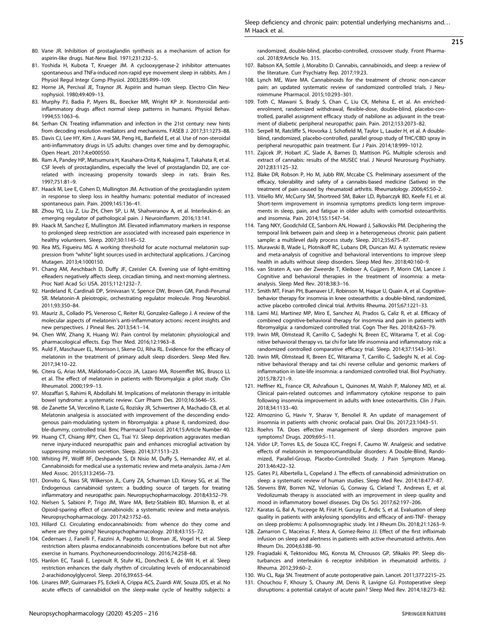# 215

- <span id="page-10-0"></span>80. Vane JR. Inhibition of prostaglandin synthesis as a mechanism of action for aspirin-like drugs. Nat-New Biol. 1971;231:232–5.
- 81. Yoshida H, Kubota T, Krueger JM. A cyclooxygenase-2 inhibitor attenuates spontaneous and TNFa-induced non-rapid eye movement sleep in rabbits. Am J Physiol Regul Integr Comp Physiol. 2003;285:R99–109.
- 82. Horne JA, Percival JE, Traynor JR. Aspirin and human sleep. Electro Clin Neurophysiol. 1980;49:409–13.
- 83. Murphy PJ, Badia P, Myers BL, Boecker MR, Wright KP Jr. Nonsteroidal antiinflammatory drugs affect normal sleep patterns in humans. Physiol Behav. 1994;55:1063–6.
- 84. Serhan CN. Treating inflammation and infection in the 21st century: new hints from decoding resolution mediators and mechanisms. FASEB J. 2017;31:1273–88.
- 85. Davis CJ, Lee HY, Kim J, Avani SM, Peng HL, Banfield E, et al. Use of non-steroidal anti-inflammatory drugs in US adults: changes over time and by demographic. Open Heart. 2017;4:e000550.
- 86. Ram A, Pandey HP, Matsumura H, Kasahara-Orita K, Nakajima T, Takahata R, et al. CSF levels of prostaglandins, especially the level of prostaglandin D2, are correlated with increasing propensity towards sleep in rats. Brain Res. 1997;751:81–9.
- 87. Haack M, Lee E, Cohen D, Mullington JM. Activation of the prostaglandin system in response to sleep loss in healthy humans: potential mediator of increased spontaneous pain. Pain. 2009;145:136–41.
- 88. Zhou YQ, Liu Z, Liu ZH, Chen SP, Li M, Shahveranov A, et al. Interleukin-6: an emerging regulator of pathological pain. J Neuroinflamm. 2016;13:141.
- 89. Haack M, Sanchez E, Mullington JM. Elevated inflammatory markers in response to prolonged sleep restriction are associated with increased pain experience in healthy volunteers. Sleep. 2007;30:1145–52.
- 90. Rea MS, Figueiru MG. A working threshold for acute nocturnal melatonin suppression from "white" light sources used in architectural applications. J Carcinog Mutagen. 2013;4:1000150.
- 91. Chang AM, Aeschbach D, Duffy JF, Czeisler CA. Evening use of light-emitting eReaders negatively affects sleep, circadian timing, and next-morning alertness. Proc Natl Acad Sci USA. 2015;112:1232–7.
- 92. Hardeland R, Cardinali DP, Srinivasan V, Spence DW, Brown GM, Pandi-Perumal SR. Melatonin-A pleiotropic, orchestrating regulator molecule. Prog Neurobiol. 2011;93:350–84.
- 93. Mauriz JL, Collado PS, Veneroso C, Reiter RJ, Gonzalez-Gallego J. A review of the molecular aspects of melatonin's anti-inflammatory actions: recent insights and new perspectives. J Pineal Res. 2013;54:1–14.
- 94. Chen WW, Zhang X, Huang WJ. Pain control by melatonin: physiological and pharmacological effects. Exp Ther Med. 2016;12:1963–8.
- 95. Auld F, Maschauer EL, Morrison I, Skene DJ, Riha RL. Evidence for the efficacy of melatonin in the treatment of primary adult sleep disorders. Sleep Med Rev. 2017;34:10–22.
- 96. Citera G, Arias MA, Maldonado-Cocco JA, Lazaro MA, Rosemffet MG, Brusco LI, et al. The effect of melatonin in patients with fibromyalgia: a pilot study. Clin Rheumatol. 2000;19:9–13.
- 97. Mozaffari S, Rahimi R, Abdollahi M. Implications of melatonin therapy in irritable bowel syndrome: a systematic review. Curr Pharm Des. 2010;16:3646–55.
- 98. de Zanette SA, Vercelino R, Laste G, Rozisky JR, Schwertner A, Machado CB, et al. Melatonin analgesia is associated with improvement of the descending endogenous pain-modulating system in fibromyalgia: a phase II, randomized, double-dummy, controlled trial. Bmc Pharmacol Toxicol. 2014;15:Article Number 40.
- 99. Huang CT, Chiang RPY, Chen CL, Tsai YJ. Sleep deprivation aggravates median nerve injury-induced neuropathic pain and enhances microglial activation by suppressing melatonin secretion. Sleep. 2014;37:1513–23.
- 100. Whiting PF, Wolff RF, Deshpande S, Di Nisio M, Duffy S, Hernandez AV, et al. Cannabinoids for medical use a systematic review and meta-analysis. Jama-J Am Med Assoc. 2015;313:2456–73.
- 101. Donvito G, Nass SR, Wilkerson JL, Curry ZA, Schurman LD, Kinsey SG, et al. The Endogenous cannabinoid system: a budding source of targets for treating inflammatory and neuropathic pain. Neuropsychopharmacology. 2018;43:52–79.
- 102. Nielsen S, Sabioni P, Trigo JM, Ware MA, Betz-Stablein BD, Murnion B, et al. Opioid-sparing effect of cannabinoids: a systematic review and meta-analysis. Neuropsychopharmacology. 2017;42:1752–65.
- 103. Hillard CJ. Circulating endocannabinoids: from whence do they come and where are they going? Neuropsychopharmacology. 2018;43:155–72.
- 104. Cedernaes J, Fanelli F, Fazzini A, Pagotto U, Broman JE, Vogel H, et al. Sleep restriction alters plasma endocannabinoids concentrations before but not after exercise in humans. Psychoneuroendocrinology. 2016;74:258–68.
- 105. Hanlon EC, Tasali E, Leproult R, Stuhr KL, Doncheck E, de Wit H, et al. Sleep restriction enhances the daily rhythm of circulating levels of endocannabinoid 2-arachidonoylglycerol. Sleep. 2016;39:653–64.
- 106. Linares IMP, Guimaraes FS, Eckeli A, Crippa ACS, Zuardi AW, Souza JDS, et al. No acute effects of cannabidiol on the sleep-wake cycle of healthy subjects: a

randomized, double-blind, placebo-controlled, crossover study. Front Pharmacol. 2018;9:Article No. 315.

- 107. Babson KA, Sottile J, Morabito D. Cannabis, cannabinoids, and sleep: a review of the literature. Curr Psychiatry Rep. 2017;19:23.
- 108. Lynch ME, Ware MA. Cannabinoids for the treatment of chronic non-cancer pain: an updated systematic review of randomized controlled trials. J Neuroimmune Pharmacol. 2015;10:293–301.
- 109. Toth C, Mawani S, Brady S, Chan C, Liu CX, Mehina E, et al. An enrichedenrolment, randomized withdrawal, flexible-dose, double-blind, placebo-controlled, parallel assignment efficacy study of nabilone as adjuvant in the treatment of diabetic peripheral neuropathic pain. Pain. 2012;153:2073–82.
- 110. Serpell M, Ratcliffe S, Hovorka J, Schofield M, Taylor L, Lauder H, et al. A doubleblind, randomized, placebo-controlled, parallel group study of THC/CBD spray in peripheral neuropathic pain treatment. Eur J Pain. 2014;18:999–1012.
- 111. Zajicek JP, Hobart JC, Slade A, Barnes D, Mattison PG. Multiple sclerosis and extract of cannabis: results of the MUSEC trial. J Neurol Neurosurg Psychiatry. 2012;83:1125–32.
- 112. Blake DR, Robson P, Ho M, Jubb RW, Mccabe CS. Preliminary assessment of the efficacy, tolerability and safety of a cannabis-based medicine (Sativex) in the treatment of pain caused by rheumatoid arthritis. Rheumatology. 2006;45:50–2.
- 113. Vitiello MV, McCurry SM, Shortreed SM, Baker LD, Rybarczyk BD, Keefe FJ, et al. Short-term improvement in insomnia symptoms predicts long-term improvements in sleep, pain, and fatigue in older adults with comorbid osteoarthritis and insomnia. Pain. 2014;155:1547–54.
- 114. Tang NKY, Goodchild CE, Sanborn AN, Howard J, Salkovskis PM. Deciphering the temporal link between pain and sleep in a heterogeneous chronic pain patient sample: a multilevel daily process study. Sleep. 2012;35:675–87.
- 115. Murawski B, Wade L, Plotnikoff RC, Lubans DR, Duncan MJ. A systematic review and meta-analysis of cognitive and behavioral interventions to improve sleep health in adults without sleep disorders. Sleep Med Rev. 2018;40:160–9.
- 116. van Straten A, van der Zweerde T, Kleiboer A, Cuijpers P, Morin CM, Lancee J. Cognitive and behavioral therapies in the treatment of insomnia: a metaanalysis. Sleep Med Rev. 2018;38:3–16.
- 117. Smith MT, Finan PH, Buenaver LF, Robinson M, Haque U, Quain A, et al. Cognitivebehavior therapy for insomnia in knee osteoarthritis: a double-blind, randomized, active placebo controlled clinical trial. Arthritis Rheuma. 2015;67:1221–33.
- 118. Lami MJ, Martinez MP, Miro E, Sanchez AI, Prados G, Caliz R, et al. Efficacy of combined cognitive-behavioral therapy for insomnia and pain in patients with fibromyalgia: a randomized controlled trial. Cogn Ther Res. 2018;42:63–79.
- 119. Irwin MR, Olmstead R, Carrillo C, Sadeghi N, Breen EC, Witarama T, et al. Cognitive behavioral therapy vs. tai chi for late life insomnia and inflammatory risk: a randomized controlled comparative efficacy trial. Sleep. 2014;37:1543–361.
- 120. Irwin MR, Olmstead R, Breen EC, Witarama T, Carrillo C, Sadeghi N, et al. Cognitive behavioral therapy and tai chi reverse cellular and genomic markers of inflammation in late-life insomnia: a randomized controlled trial. Biol Psychiatry. 2015;78:721–9.
- 121. Heffner KL, France CR, Ashrafioun L, Quinones M, Walsh P, Maloney MD, et al. Clinical pain-related outcomes and inflammatory cytokine response to pain following insomnia improvement in adults with knee osteoarthritis. Clin J Pain. 2018;34:1133–40.
- 122. Almoznino G, Haviv Y, Sharav Y, Benoliel R. An update of management of insomnia in patients with chronic orofacial pain. Oral Dis. 2017;23:1043–51.
- 123. Roehrs TA. Does effective management of sleep disorders improve pain symptoms? Drugs. 2009;69:5–11.
- 124. Vidor LP, Torres ILS, de Souza ICC, Fregni F, Caumo W. Analgesic and sedative effects of melatonin in temporomandibular disorders: A Double-Blind, Randomized, Parallel-Group, Placebo-Controlled Study. J Pain Symptom Manag. 2013;46:422–32.
- 125. Gates PJ, Albertella L, Copeland J. The effects of cannabinoid administration on sleep: a systematic review of human studies. Sleep Med Rev. 2014;18:477–87.
- 126. Stevens BW, Borren NZ, Velonias G, Conway G, Cleland T, Andrews E, et al. Vedolizumab therapy is associated with an improvement in sleep quality and mood in inflammatory bowel diseases. Dig Dis Sci. 2017;62:197–206.
- 127. Karatas G, Bal A, Yuceege M, Firat H, Gurcay E, Ardic S, et al. Evaluation of sleep quality in patients with ankylosing spondylitis and efficacy of anti-TNF- therapy on sleep problems: A polisomnographic study. Int J Rheum Dis. 2018;21:1263–9.
- 128. Zamarron C, Maceiras F, Mera A, Gomez-Reino JJ. Effect of the first infliximab infusion on sleep and alertness in patients with active rheumatoid arthritis. Ann Rheum Dis. 2004;63:88–90.
- 129. Fragiadaki K, Tektonidou MG, Konsta M, Chrousos GP, Sfikakis PP. Sleep disturbances and interleukin 6 receptor inhibition in rheumatoid arthritis. J Rheuma. 2012;39:60–2.
- 130. Wu CL, Raja SN. Treatment of acute postoperative pain. Lancet. 2011;377:2215–25.
- 131. Chouchou F, Khoury S, Chauny JM, Denis R, Lavigne GJ. Postoperative sleep disruptions: a potential catalyst of acute pain? Sleep Med Rev. 2014;18:273–82.